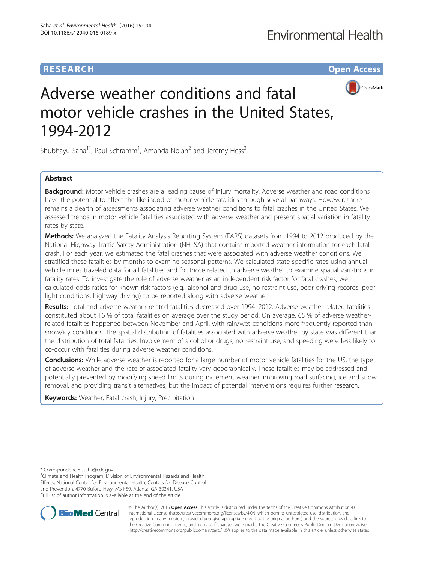## **RESEARCH CHE Open Access**



# Adverse weather conditions and fatal motor vehicle crashes in the United States, 1994-2012

Shubhayu Saha<sup>1\*</sup>, Paul Schramm<sup>1</sup>, Amanda Nolan<sup>2</sup> and Jeremy Hess<sup>3</sup>

## Abstract

**Background:** Motor vehicle crashes are a leading cause of injury mortality. Adverse weather and road conditions have the potential to affect the likelihood of motor vehicle fatalities through several pathways. However, there remains a dearth of assessments associating adverse weather conditions to fatal crashes in the United States. We assessed trends in motor vehicle fatalities associated with adverse weather and present spatial variation in fatality rates by state.

Methods: We analyzed the Fatality Analysis Reporting System (FARS) datasets from 1994 to 2012 produced by the National Highway Traffic Safety Administration (NHTSA) that contains reported weather information for each fatal crash. For each year, we estimated the fatal crashes that were associated with adverse weather conditions. We stratified these fatalities by months to examine seasonal patterns. We calculated state-specific rates using annual vehicle miles traveled data for all fatalities and for those related to adverse weather to examine spatial variations in fatality rates. To investigate the role of adverse weather as an independent risk factor for fatal crashes, we calculated odds ratios for known risk factors (e.g., alcohol and drug use, no restraint use, poor driving records, poor light conditions, highway driving) to be reported along with adverse weather.

Results: Total and adverse weather-related fatalities decreased over 1994-2012. Adverse weather-related fatalities constituted about 16 % of total fatalities on average over the study period. On average, 65 % of adverse weatherrelated fatalities happened between November and April, with rain/wet conditions more frequently reported than snow/icy conditions. The spatial distribution of fatalities associated with adverse weather by state was different than the distribution of total fatalities. Involvement of alcohol or drugs, no restraint use, and speeding were less likely to co-occur with fatalities during adverse weather conditions.

**Conclusions:** While adverse weather is reported for a large number of motor vehicle fatalities for the US, the type of adverse weather and the rate of associated fatality vary geographically. These fatalities may be addressed and potentially prevented by modifying speed limits during inclement weather, improving road surfacing, ice and snow removal, and providing transit alternatives, but the impact of potential interventions requires further research.

Keywords: Weather, Fatal crash, Injury, Precipitation

<sup>&</sup>lt;sup>1</sup> Climate and Health Program, Division of Environmental Hazards and Health Effects, National Center for Environmental Health, Centers for Disease Control and Prevention, 4770 Buford Hwy, MS F59, Atlanta, GA 30341, USA Full list of author information is available at the end of the article



© The Author(s). 2016 **Open Access** This article is distributed under the terms of the Creative Commons Attribution 4.0 International License [\(http://creativecommons.org/licenses/by/4.0/](http://creativecommons.org/licenses/by/4.0/)), which permits unrestricted use, distribution, and reproduction in any medium, provided you give appropriate credit to the original author(s) and the source, provide a link to the Creative Commons license, and indicate if changes were made. The Creative Commons Public Domain Dedication waiver [\(http://creativecommons.org/publicdomain/zero/1.0/](http://creativecommons.org/publicdomain/zero/1.0/)) applies to the data made available in this article, unless otherwise stated.

<sup>\*</sup> Correspondence: [ssaha@cdc.gov](mailto:ssaha@cdc.gov) <sup>1</sup>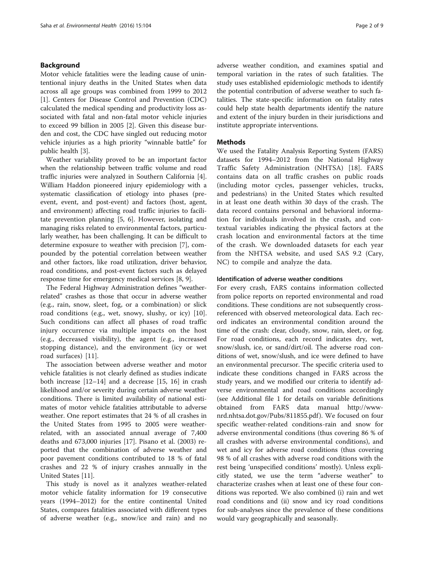## Background

Motor vehicle fatalities were the leading cause of unintentional injury deaths in the United States when data across all age groups was combined from 1999 to 2012 [[1\]](#page-7-0). Centers for Disease Control and Prevention (CDC) calculated the medical spending and productivity loss associated with fatal and non-fatal motor vehicle injuries to exceed 99 billion in 2005 [[2\]](#page-7-0). Given this disease burden and cost, the CDC have singled out reducing motor vehicle injuries as a high priority "winnable battle" for public health [\[3\]](#page-7-0).

Weather variability proved to be an important factor when the relationship between traffic volume and road traffic injuries were analyzed in Southern California [\[4](#page-7-0)]. William Haddon pioneered injury epidemiology with a systematic classification of etiology into phases (preevent, event, and post-event) and factors (host, agent, and environment) affecting road traffic injuries to facilitate prevention planning [\[5, 6](#page-7-0)]. However, isolating and managing risks related to environmental factors, particularly weather, has been challenging. It can be difficult to determine exposure to weather with precision [\[7](#page-7-0)], compounded by the potential correlation between weather and other factors, like road utilization, driver behavior, road conditions, and post-event factors such as delayed response time for emergency medical services [[8, 9\]](#page-7-0).

The Federal Highway Administration defines "weatherrelated" crashes as those that occur in adverse weather (e.g., rain, snow, sleet, fog, or a combination) or slick road conditions (e.g., wet, snowy, slushy, or icy) [\[10](#page-7-0)]. Such conditions can affect all phases of road traffic injury occurrence via multiple impacts on the host (e.g., decreased visibility), the agent (e.g., increased stopping distance), and the environment (icy or wet road surfaces) [\[11](#page-7-0)].

The association between adverse weather and motor vehicle fatalities is not clearly defined as studies indicate both increase [\[12](#page-7-0)–[14\]](#page-7-0) and a decrease [\[15](#page-7-0), [16](#page-7-0)] in crash likelihood and/or severity during certain adverse weather conditions. There is limited availability of national estimates of motor vehicle fatalities attributable to adverse weather. One report estimates that 24 % of all crashes in the United States from 1995 to 2005 were weatherrelated, with an associated annual average of 7,400 deaths and 673,000 injuries [[17\]](#page-7-0). Pisano et al. (2003) reported that the combination of adverse weather and poor pavement conditions contributed to 18 % of fatal crashes and 22 % of injury crashes annually in the United States [[11](#page-7-0)].

This study is novel as it analyzes weather-related motor vehicle fatality information for 19 consecutive years (1994–2012) for the entire continental United States, compares fatalities associated with different types of adverse weather (e.g., snow/ice and rain) and no adverse weather condition, and examines spatial and temporal variation in the rates of such fatalities. The study uses established epidemiologic methods to identify the potential contribution of adverse weather to such fatalities. The state-specific information on fatality rates could help state health departments identify the nature and extent of the injury burden in their jurisdictions and institute appropriate interventions.

## **Methods**

We used the Fatality Analysis Reporting System (FARS) datasets for 1994–2012 from the National Highway Traffic Safety Administration (NHTSA) [[18\]](#page-7-0). FARS contains data on all traffic crashes on public roads (including motor cycles, passenger vehicles, trucks, and pedestrians) in the United States which resulted in at least one death within 30 days of the crash. The data record contains personal and behavioral information for individuals involved in the crash, and contextual variables indicating the physical factors at the crash location and environmental factors at the time of the crash. We downloaded datasets for each year from the NHTSA website, and used SAS 9.2 (Cary, NC) to compile and analyze the data.

### Identification of adverse weather conditions

For every crash, FARS contains information collected from police reports on reported environmental and road conditions. These conditions are not subsequently crossreferenced with observed meteorological data. Each record indicates an environmental condition around the time of the crash: clear, cloudy, snow, rain, sleet, or fog. For road conditions, each record indicates dry, wet, snow/slush, ice, or sand/dirt/oil. The adverse road conditions of wet, snow/slush, and ice were defined to have an environmental precursor. The specific criteria used to indicate these conditions changed in FARS across the study years, and we modified our criteria to identify adverse environmental and road conditions accordingly (see Additional file [1](#page-7-0) for details on variable definitions obtained from FARS data manual [http://www](http://www-nrd.nhtsa.dot.gov/Pubs/811855.pdf)[nrd.nhtsa.dot.gov/Pubs/811855.pdf](http://www-nrd.nhtsa.dot.gov/Pubs/811855.pdf) ). We focused on four specific weather-related conditions-rain and snow for adverse environmental conditions (thus covering 86 % of all crashes with adverse environmental conditions), and wet and icy for adverse road conditions (thus covering 98 % of all crashes with adverse road conditions with the rest being 'unspecified conditions' mostly). Unless explicitly stated, we use the term "adverse weather" to characterize crashes when at least one of these four conditions was reported. We also combined (i) rain and wet road conditions and (ii) snow and icy road conditions for sub-analyses since the prevalence of these conditions would vary geographically and seasonally.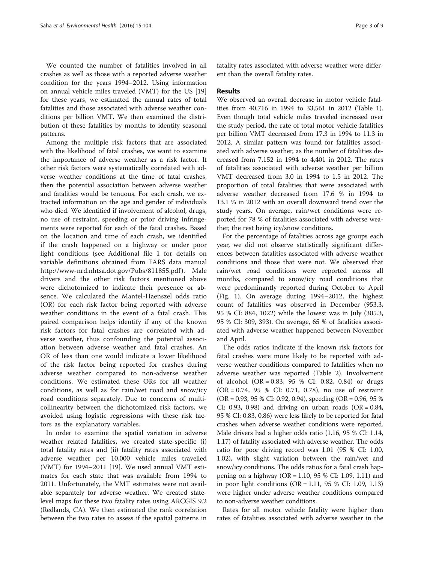We counted the number of fatalities involved in all crashes as well as those with a reported adverse weather condition for the years 1994–2012. Using information on annual vehicle miles traveled (VMT) for the US [[19](#page-7-0)] for these years, we estimated the annual rates of total fatalities and those associated with adverse weather conditions per billion VMT. We then examined the distribution of these fatalities by months to identify seasonal patterns.

Among the multiple risk factors that are associated with the likelihood of fatal crashes, we want to examine the importance of adverse weather as a risk factor. If other risk factors were systematically correlated with adverse weather conditions at the time of fatal crashes, then the potential association between adverse weather and fatalities would be tenuous. For each crash, we extracted information on the age and gender of individuals who died. We identified if involvement of alcohol, drugs, no use of restraint, speeding or prior driving infringements were reported for each of the fatal crashes. Based on the location and time of each crash, we identified if the crash happened on a highway or under poor light conditions (see Additional file [1](#page-7-0) for details on variable definitions obtained from FARS data manual <http://www-nrd.nhtsa.dot.gov/Pubs/811855.pdf> ). Male drivers and the other risk factors mentioned above were dichotomized to indicate their presence or absence. We calculated the Mantel-Haenszel odds ratio (OR) for each risk factor being reported with adverse weather conditions in the event of a fatal crash. This paired comparison helps identify if any of the known risk factors for fatal crashes are correlated with adverse weather, thus confounding the potential association between adverse weather and fatal crashes. An OR of less than one would indicate a lower likelihood of the risk factor being reported for crashes during adverse weather compared to non-adverse weather conditions. We estimated these ORs for all weather conditions, as well as for rain/wet road and snow/icy road conditions separately. Due to concerns of multicollinearity between the dichotomized risk factors, we avoided using logistic regressions with these risk factors as the explanatory variables.

In order to examine the spatial variation in adverse weather related fatalities, we created state-specific (i) total fatality rates and (ii) fatality rates associated with adverse weather per 10,000 vehicle miles travelled (VMT) for 1994–2011 [[19\]](#page-7-0). We used annual VMT estimates for each state that was available from 1994 to 2011. Unfortunately, the VMT estimates were not available separately for adverse weather. We created statelevel maps for these two fatality rates using ARCGIS 9.2 (Redlands, CA). We then estimated the rank correlation between the two rates to assess if the spatial patterns in fatality rates associated with adverse weather were different than the overall fatality rates.

## Results

We observed an overall decrease in motor vehicle fatalities from 40,716 in 1994 to 33,561 in 2012 (Table [1](#page-3-0)). Even though total vehicle miles traveled increased over the study period, the rate of total motor vehicle fatalities per billion VMT decreased from 17.3 in 1994 to 11.3 in 2012. A similar pattern was found for fatalities associated with adverse weather, as the number of fatalities decreased from 7,152 in 1994 to 4,401 in 2012. The rates of fatalities associated with adverse weather per billion VMT decreased from 3.0 in 1994 to 1.5 in 2012. The proportion of total fatalities that were associated with adverse weather decreased from 17.6 % in 1994 to 13.1 % in 2012 with an overall downward trend over the study years. On average, rain/wet conditions were reported for 78 % of fatalities associated with adverse weather, the rest being icy/snow conditions.

For the percentage of fatalities across age groups each year, we did not observe statistically significant differences between fatalities associated with adverse weather conditions and those that were not. We observed that rain/wet road conditions were reported across all months, compared to snow/icy road conditions that were predominantly reported during October to April (Fig. [1\)](#page-3-0). On average during 1994–2012, the highest count of fatalities was observed in December (953.3, 95 % CI: 884, 1022) while the lowest was in July (305.3, 95 % CI: 309, 393). On average, 65 % of fatalities associated with adverse weather happened between November and April.

The odds ratios indicate if the known risk factors for fatal crashes were more likely to be reported with adverse weather conditions compared to fatalities when no adverse weather was reported (Table [2](#page-4-0)). Involvement of alcohol  $(OR = 0.83, 95 %$  CI: 0.82, 0.84) or drugs (OR = 0.74, 95 % CI: 0.71, 0.78), no use of restraint (OR = 0.93, 95 % CI: 0.92, 0.94), speeding (OR = 0.96, 95 % CI: 0.93, 0.98) and driving on urban roads (OR =  $0.84$ , 95 % CI: 0.83, 0.86) were less likely to be reported for fatal crashes when adverse weather conditions were reported. Male drivers had a higher odds ratio (1.16, 95 % CI: 1.14, 1.17) of fatality associated with adverse weather. The odds ratio for poor driving record was 1.01 (95 % CI: 1.00, 1.02), with slight variation between the rain/wet and snow/icy conditions. The odds ratios for a fatal crash happening on a highway (OR = 1.10, 95 % CI: 1.09, 1.11) and in poor light conditions (OR = 1.11, 95 % CI: 1.09, 1.13) were higher under adverse weather conditions compared to non-adverse weather conditions.

Rates for all motor vehicle fatality were higher than rates of fatalities associated with adverse weather in the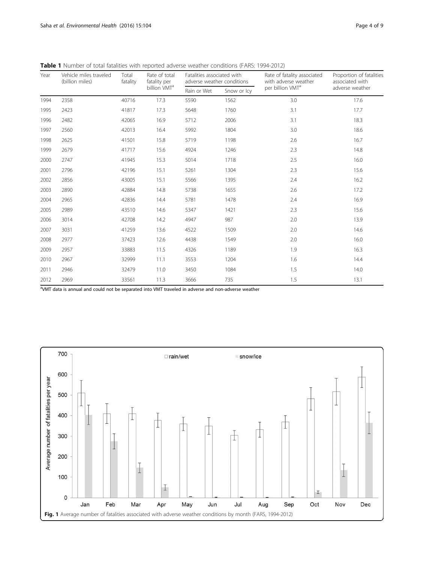| Year | Vehicle miles traveled<br>(billion miles) | Total<br>fatality | Rate of total<br>fatality per | Fatalities associated with<br>adverse weather conditions |             | Rate of fatality associated<br>with adverse weather | Proportion of fatalities<br>associated with |
|------|-------------------------------------------|-------------------|-------------------------------|----------------------------------------------------------|-------------|-----------------------------------------------------|---------------------------------------------|
|      |                                           |                   | billion VMT <sup>a</sup>      | Rain or Wet                                              | Snow or Icy | per billion VMT <sup>a</sup>                        | adverse weather                             |
| 1994 | 2358                                      | 40716             | 17.3                          | 5590                                                     | 1562        | 3.0                                                 | 17.6                                        |
| 1995 | 2423                                      | 41817             | 17.3                          | 5648                                                     | 1760        | 3.1                                                 | 17.7                                        |
| 1996 | 2482                                      | 42065             | 16.9                          | 5712                                                     | 2006        | 3.1                                                 | 18.3                                        |
| 1997 | 2560                                      | 42013             | 16.4                          | 5992                                                     | 1804        | 3.0                                                 | 18.6                                        |
| 1998 | 2625                                      | 41501             | 15.8                          | 5719                                                     | 1198        | 2.6                                                 | 16.7                                        |
| 1999 | 2679                                      | 41717             | 15.6                          | 4924                                                     | 1246        | 2.3                                                 | 14.8                                        |
| 2000 | 2747                                      | 41945             | 15.3                          | 5014                                                     | 1718        | 2.5                                                 | 16.0                                        |
| 2001 | 2796                                      | 42196             | 15.1                          | 5261                                                     | 1304        | 2.3                                                 | 15.6                                        |
| 2002 | 2856                                      | 43005             | 15.1                          | 5566                                                     | 1395        | 2.4                                                 | 16.2                                        |
| 2003 | 2890                                      | 42884             | 14.8                          | 5738                                                     | 1655        | 2.6                                                 | 17.2                                        |
| 2004 | 2965                                      | 42836             | 14.4                          | 5781                                                     | 1478        | 2.4                                                 | 16.9                                        |
| 2005 | 2989                                      | 43510             | 14.6                          | 5347                                                     | 1421        | 2.3                                                 | 15.6                                        |
| 2006 | 3014                                      | 42708             | 14.2                          | 4947                                                     | 987         | 2.0                                                 | 13.9                                        |
| 2007 | 3031                                      | 41259             | 13.6                          | 4522                                                     | 1509        | 2.0                                                 | 14.6                                        |
| 2008 | 2977                                      | 37423             | 12.6                          | 4438                                                     | 1549        | 2.0                                                 | 16.0                                        |
| 2009 | 2957                                      | 33883             | 11.5                          | 4326                                                     | 1189        | 1.9                                                 | 16.3                                        |
| 2010 | 2967                                      | 32999             | 11.1                          | 3553                                                     | 1204        | 1.6                                                 | 14.4                                        |
| 2011 | 2946                                      | 32479             | 11.0                          | 3450                                                     | 1084        | 1.5                                                 | 14.0                                        |
| 2012 | 2969                                      | 33561             | 11.3                          | 3666                                                     | 735         | 1.5                                                 | 13.1                                        |

<span id="page-3-0"></span>Table 1 Number of total fatalities with reported adverse weather conditions (FARS: 1994-2012)

<sup>a</sup>VMT data is annual and could not be separated into VMT traveled in adverse and non-adverse weather

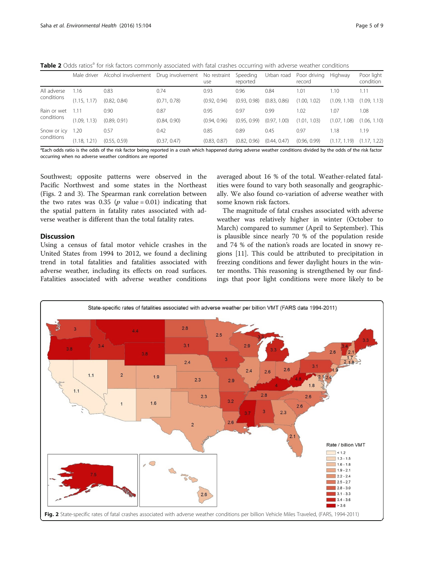<span id="page-4-0"></span>Table 2 Odds ratios<sup>a</sup> for risk factors commonly associated with fatal crashes occurring with adverse weather conditions

|             | Male driver  | Alcohol involvement | Drug involvement | No restraint<br>use | Speeding<br>reported | Urban road         | Poor driving<br>record | Highway           | Poor light<br>condition |
|-------------|--------------|---------------------|------------------|---------------------|----------------------|--------------------|------------------------|-------------------|-------------------------|
| All adverse | .16          | 0.83                | 0.74             | 0.93                | 0.96                 | 0.84               | 1.01                   | 1.10              | 1.11                    |
| conditions  | (1.15, 1.17) | (0.82, 0.84)        | (0.71, 0.78)     | (0.92, 0.94)        | (0.93, 0.98)         | (0.83, 0.86)       | (1.00, 1.02)           | (1.09, 1.10)      | (1.09, 1.13)            |
| Rain or wet | $\cdot$ 11   | 0.90                | 0.87             | 0.95                | 0.97                 | 0.99               | 1.02                   | 1.07              | 1.08                    |
| conditions  | (1.09, 1.13) | (0.89, 0.91)        | (0.84, 0.90)     | (0.94, 0.96)        | (0.95, 0.99)         | (0.97, 1)<br>1.00) | (1.01, 1.03)           | (1.07, 1)<br>.08) | (1.06, 1.10)            |
| Snow or icy | .20          | 0.57                | 0.42             | 0.85                | 0.89                 | 0.45               | 0.97                   | 1.18              | 1.19                    |
| conditions  | (1.18, 1)    | (0.55, 0.59)        | (0.37, 0.47)     | (0.83, 0.87)        | (0.82, 0.96)         | (0.44, 0.47)       | (0.96, 0.99)           | (1.17.1)<br>.19)  | (1.17, 1.22)            |

<sup>a</sup>Each odds ratio is the odds of the risk factor being reported in a crash which happened during adverse weather conditions divided by the odds of the risk factor occurring when no adverse weather conditions are reported

Southwest; opposite patterns were observed in the Pacific Northwest and some states in the Northeast (Figs. 2 and [3\)](#page-5-0). The Spearman rank correlation between the two rates was 0.35 ( $p$  value = 0.01) indicating that the spatial pattern in fatality rates associated with adverse weather is different than the total fatality rates.

## **Discussion**

Using a census of fatal motor vehicle crashes in the United States from 1994 to 2012, we found a declining trend in total fatalities and fatalities associated with adverse weather, including its effects on road surfaces. Fatalities associated with adverse weather conditions

averaged about 16 % of the total. Weather-related fatalities were found to vary both seasonally and geographically. We also found co-variation of adverse weather with some known risk factors.

The magnitude of fatal crashes associated with adverse weather was relatively higher in winter (October to March) compared to summer (April to September). This is plausible since nearly 70 % of the population reside and 74 % of the nation's roads are located in snowy regions [[11\]](#page-7-0). This could be attributed to precipitation in freezing conditions and fewer daylight hours in the winter months. This reasoning is strengthened by our findings that poor light conditions were more likely to be

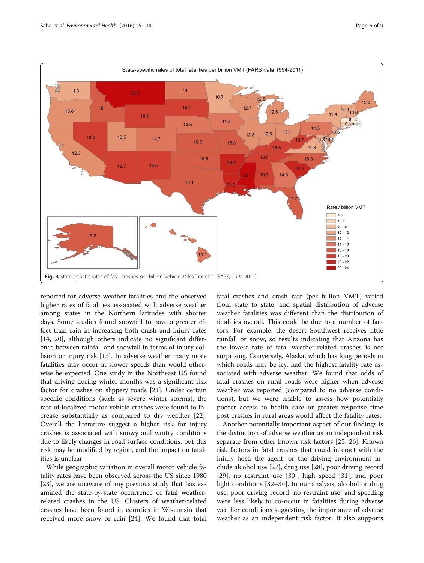<span id="page-5-0"></span>

reported for adverse weather fatalities and the observed higher rates of fatalities associated with adverse weather among states in the Northern latitudes with shorter days. Some studies found snowfall to have a greater effect than rain in increasing both crash and injury rates [[14,](#page-7-0) [20](#page-8-0)], although others indicate no significant difference between rainfall and snowfall in terms of injury collision or injury risk [\[13\]](#page-7-0). In adverse weather many more fatalities may occur at slower speeds than would otherwise be expected. One study in the Northeast US found that driving during winter months was a significant risk factor for crashes on slippery roads [[21](#page-8-0)]. Under certain specific conditions (such as severe winter storms), the rate of localized motor vehicle crashes were found to increase substantially as compared to dry weather [\[22](#page-8-0)]. Overall the literature suggest a higher risk for injury crashes is associated with snowy and wintry conditions due to likely changes in road surface conditions, but this risk may be modified by region, and the impact on fatalities is unclear.

While geographic variation in overall motor vehicle fatality rates have been observed across the US since 1980 [[23\]](#page-8-0), we are unaware of any previous study that has examined the state-by-state occurrence of fatal weatherrelated crashes in the US. Clusters of weather-related crashes have been found in counties in Wisconsin that received more snow or rain [\[24\]](#page-8-0). We found that total

fatal crashes and crash rate (per billion VMT) varied from state to state, and spatial distribution of adverse weather fatalities was different than the distribution of fatalities overall. This could be due to a number of factors. For example, the desert Southwest receives little rainfall or snow, so results indicating that Arizona has the lowest rate of fatal weather-related crashes is not surprising. Conversely, Alaska, which has long periods in which roads may be icy, had the highest fatality rate associated with adverse weather. We found that odds of fatal crashes on rural roads were higher when adverse weather was reported (compared to no adverse conditions), but we were unable to assess how potentially poorer access to health care or greater response time post crashes in rural areas would affect the fatality rates.

Another potentially important aspect of our findings is the distinction of adverse weather as an independent risk separate from other known risk factors [[25, 26](#page-8-0)]. Known risk factors in fatal crashes that could interact with the injury host, the agent, or the driving environment include alcohol use [\[27](#page-8-0)], drug use [[28](#page-8-0)], poor driving record [[29\]](#page-8-0), no restraint use [[30\]](#page-8-0), high speed [\[31\]](#page-8-0), and poor light conditions [\[32](#page-8-0)–[34\]](#page-8-0). In our analysis, alcohol or drug use, poor driving record, no restraint use, and speeding were less likely to co-occur in fatalities during adverse weather conditions suggesting the importance of adverse weather as an independent risk factor. It also supports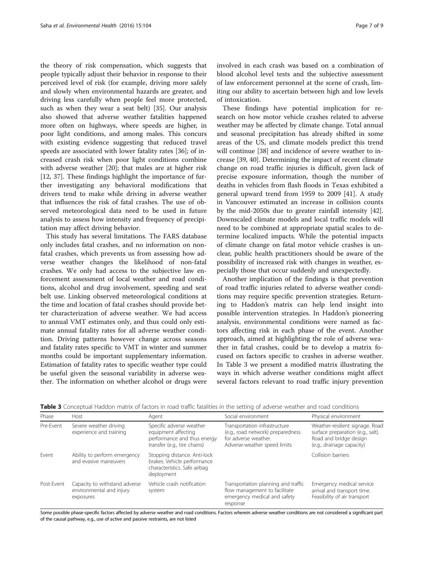the theory of risk compensation, which suggests that people typically adjust their behavior in response to their perceived level of risk (for example, driving more safely and slowly when environmental hazards are greater, and driving less carefully when people feel more protected, such as when they wear a seat belt) [[35\]](#page-8-0). Our analysis also showed that adverse weather fatalities happened more often on highways, where speeds are higher, in poor light conditions, and among males. This concurs with existing evidence suggesting that reduced travel speeds are associated with lower fatality rates [[36](#page-8-0)]; of increased crash risk when poor light conditions combine with adverse weather [[20\]](#page-8-0); that males are at higher risk [[12,](#page-7-0) [37](#page-8-0)]. These findings highlight the importance of further investigating any behavioral modifications that drivers tend to make while driving in adverse weather that influences the risk of fatal crashes. The use of observed meteorological data need to be used in future analysis to assess how intensity and frequency of precipitation may affect driving behavior.

This study has several limitations. The FARS database only includes fatal crashes, and no information on nonfatal crashes, which prevents us from assessing how adverse weather changes the likelihood of non-fatal crashes. We only had access to the subjective law enforcement assessment of local weather and road conditions, alcohol and drug involvement, speeding and seat belt use. Linking observed meteorological conditions at the time and location of fatal crashes should provide better characterization of adverse weather. We had access to annual VMT estimates only, and thus could only estimate annual fatality rates for all adverse weather condition. Driving patterns however change across seasons and fatality rates specific to VMT in winter and summer months could be important supplementary information. Estimation of fatality rates to specific weather type could be useful given the seasonal variability in adverse weather. The information on whether alcohol or drugs were involved in each crash was based on a combination of blood alcohol level tests and the subjective assessment of law enforcement personnel at the scene of crash, limiting our ability to ascertain between high and low levels of intoxication.

These findings have potential implication for research on how motor vehicle crashes related to adverse weather may be affected by climate change. Total annual and seasonal precipitation has already shifted in some areas of the US, and climate models predict this trend will continue [\[38](#page-8-0)] and incidence of severe weather to increase [[39, 40\]](#page-8-0). Determining the impact of recent climate change on road traffic injuries is difficult, given lack of precise exposure information, though the number of deaths in vehicles from flash floods in Texas exhibited a general upward trend from 1959 to 2009 [\[41](#page-8-0)]. A study in Vancouver estimated an increase in collision counts by the mid-2050s due to greater rainfall intensity [\[42](#page-8-0)]. Downscaled climate models and local traffic models will need to be combined at appropriate spatial scales to determine localized impacts. While the potential impacts of climate change on fatal motor vehicle crashes is unclear, public health practitioners should be aware of the possibility of increased risk with changes in weather, especially those that occur suddenly and unexpectedly.

Another implication of the findings is that prevention of road traffic injuries related to adverse weather conditions may require specific prevention strategies. Returning to Haddon's matrix can help lend insight into possible intervention strategies. In Haddon's pioneering analysis, environmental conditions were named as factors affecting risk in each phase of the event. Another approach, aimed at highlighting the role of adverse weather in fatal crashes, could be to develop a matrix focused on factors specific to crashes in adverse weather. In Table 3 we present a modified matrix illustrating the ways in which adverse weather conditions might affect several factors relevant to road traffic injury prevention

| Phase      | Host                                                                   | Agent                                                                                                          | Social environment                                                                                                         | Physical environment                                                                                                        |
|------------|------------------------------------------------------------------------|----------------------------------------------------------------------------------------------------------------|----------------------------------------------------------------------------------------------------------------------------|-----------------------------------------------------------------------------------------------------------------------------|
| Pre-Event  | Severe weather driving<br>experience and training                      | Specific adverse weather<br>equipment affecting<br>performance and thus energy<br>transfer (e.g., tire chains) | Transportation infrastructure<br>(e.g., road network) preparedness<br>for adverse weather.<br>Adverse-weather speed limits | Weather-resilient signage. Road<br>surface preparation (e.g., salt).<br>Road and bridge design<br>(e.g., drainage capacity) |
| Fvent      | Ability to perform emergency<br>and evasive maneuvers                  | Stopping distance. Anti-lock<br>brakes. Vehicle performance<br>characteristics. Safe airbag<br>deployment      |                                                                                                                            | Collision barriers                                                                                                          |
| Post-Event | Capacity to withstand adverse<br>environmental and injury<br>exposures | Vehicle crash notification<br>system                                                                           | Transportation planning and traffic<br>flow management to facilitate<br>emergency medical and safety<br>response           | Emergency medical service<br>arrival and transport time.<br>Feasibility of air transport                                    |

Table 3 Conceptual Haddon matrix of factors in road traffic fatalities in the setting of adverse weather and road conditions

Some possible phase-specific factors affected by adverse weather and road conditions. Factors wherein adverse weather conditions are not considered a significant part of the causal pathway, e.g., use of active and passive restraints, are not listed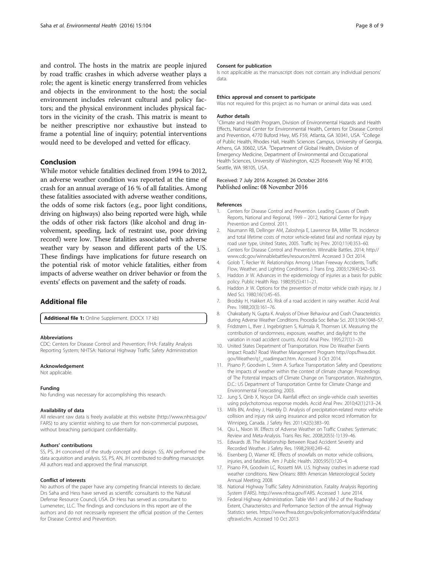<span id="page-7-0"></span>and control. The hosts in the matrix are people injured by road traffic crashes in which adverse weather plays a role; the agent is kinetic energy transferred from vehicles and objects in the environment to the host; the social environment includes relevant cultural and policy factors; and the physical environment includes physical factors in the vicinity of the crash. This matrix is meant to be neither prescriptive nor exhaustive but instead to frame a potential line of inquiry; potential interventions would need to be developed and vetted for efficacy.

## Conclusion

While motor vehicle fatalities declined from 1994 to 2012, an adverse weather condition was reported at the time of crash for an annual average of 16 % of all fatalities. Among these fatalities associated with adverse weather conditions, the odds of some risk factors (e.g., poor light conditions, driving on highways) also being reported were high, while the odds of other risk factors (like alcohol and drug involvement, speeding, lack of restraint use, poor driving record) were low. These fatalities associated with adverse weather vary by season and different parts of the US. These findings have implications for future research on the potential risk of motor vehicle fatalities, either from impacts of adverse weather on driver behavior or from the events' effects on pavement and the safety of roads.

## Additional file

[Additional file 1:](dx.doi.org/10.1186/s12940-016-0189-x) Online Supplement. (DOCX 17 kb)

#### Abbreviations

CDC: Centers for Disease Control and Prevention; FHA: Fatality Analysis Reporting System; NHTSA: National Highway Traffic Safety Administration

#### Acknowledgement

Not applicable.

#### Funding

No funding was necessary for accomplishing this research.

#### Availability of data

All relevant raw data is freely available at this website [\(http://www.nhtsa.gov/](http://www.nhtsa.gov/FARS) [FARS\)](http://www.nhtsa.gov/FARS) to any scientist wishing to use them for non-commercial purposes, without breaching participant confidentiality.

#### Authors' contributions

SS, PS, JH conceived of the study concept and design. SS, AN performed the data acquisition and analysis. SS, PS, AN, JH contributed to drafting manuscript. All authors read and approved the final manuscript.

#### Conflict of interests

No authors of the paper have any competing financial interests to declare. Drs Saha and Hess have served as scientific consultants to the Natural Defense Resource Council, USA. Dr Hess has served as consultant to Lumenetec, LLC. The findings and conclusions in this report are of the authors and do not necessarily represent the official position of the Centers for Disease Control and Prevention.

#### Consent for publication

Is not applicable as the manuscript does not contain any individual persons' data.

#### Ethics approval and consent to participate

Was not required for this project as no human or animal data was used.

#### Author details

<sup>1</sup>Climate and Health Program, Division of Environmental Hazards and Health Effects, National Center for Environmental Health, Centers for Disease Control and Prevention, 4770 Buford Hwy, MS F59, Atlanta, GA 30341, USA. <sup>2</sup>College of Public Health, Rhodes Hall, Health Sciences Campus, University of Georgia, Athens, GA 30602, USA. <sup>3</sup>Department of Global Health, Division of Emergency Medicine, Department of Environmental and Occupational Health Sciences, University of Washington, 4225 Roosevelt Way NE #100, Seattle, WA 98105, USA.

#### Received: 7 July 2016 Accepted: 26 October 2016 Published online: 08 November 2016

#### References

- 1. Centers for Disease Control and Prevention. Leading Causes of Death Reports, National and Regional, 1999 – 2012, National Center for Injury Prevention and Control. 2011.
- 2. Naumann RB, Dellinger AM, Zaloshnja E, Lawrence BA, Miller TR. Incidence and total lifetime costs of motor vehicle-related fatal and nonfatal injury by road user type, United States, 2005. Traffic Inj Prev. 2010;11(4):353–60.
- 3. Centers for Disease Control and Prevention. Winnable Battles. 2014; [http://](http://www.cdc.gov/winnablebattles/resources.html) [www.cdc.gov/winnablebattles/resources.html](http://www.cdc.gov/winnablebattles/resources.html). Accessed 3 Oct 2014.
- 4. Golob T, Recker W. Relationships Among Urban Freeway Accidents, Traffic Flow, Weather, and Lighting Conditions. J Trans Eng. 2003;129(4):342–53.
- 5. Haddon Jr W. Advances in the epidemiology of injuries as a basis for public policy. Public Health Rep. 1980;95(5):411–21.
- 6. Haddon Jr W. Options for the prevention of motor vehicle crash injury. Isr J Med Sci. 1980;16(1):45–65.
- 7. Brodsky H, Hakkert AS. Risk of a road accident in rainy weather. Accid Anal Prev. 1988;20(3):161–76.
- 8. Chakrabarty N, Gupta K. Analysis of Driver Behaviour and Crash Characteristics during Adverse Weather Conditions. Procedia Soc Behav Sci. 2013;104:1048–57.
- 9. Fridstrøm L, Ifver J, Ingebrigtsen S, Kulmala R, Thomsen LK. Measuring the contribution of randomness, exposure, weather, and daylight to the variation in road accident counts. Accid Anal Prev. 1995;27(1):1–20.
- 10. United States Department of Transportation. How Do Weather Events Impact Roads? Road Weather Management Program [http://ops.fhwa.dot.](http://ops.fhwa.dot.gov/Weather/q1_roadimpact.htm) [gov/Weather/q1\\_roadimpact.htm.](http://ops.fhwa.dot.gov/Weather/q1_roadimpact.htm) Accessed 3 Oct 2014.
- 11. Pisano P, Goodwin L, Stern A. Surface Transportation Safety and Operations: the impacts of weather within the context of climate change. Proceedings of The Potential Impacts of Climate Change on Transportation. Washington, D.C.: US Department of Transportation Centre for Climate Change and Environmental Forecasting; 2003.
- 12. Jung S, Qinb X, Noyce DA. Rainfall effect on single-vehicle crash severities using polychotomous response models. Accid Anal Prev. 2010;42(1):213–24.
- 13. Mills BN, Andrey J, Hambly D. Analysis of precipitation-related motor vehicle collision and injury risk using insurance and police record information for Winnipeg, Canada. J Safety Res. 2011;42(5):383–90.
- 14. Qiu L, Nixon W. Effects of Adverse Weather on Traffic Crashes: Systematic Review and Meta-Analysis. Trans Res Rec. 2008;2055(-1):139–46.
- 15. Edwards JB. The Relationship Between Road Accident Severity and Recorded Weather. J Safety Res. 1998;29(4):249–62.
- 16. Eisenberg D, Warner KE. Effects of snowfalls on motor vehicle collisions, injuries, and fatalities. Am J Public Health. 2005;95(1):120–4.
- 17. Pisano PA, Goodwin LC, Rossetti MA. U.S. highway crashes in adverse road weather conditions. New Orleans: 88th American Meteorological Society Annual Meeting; 2008.
- 18. National Highway Traffic Safety Administration. Fatality Analysis Reporting System (FARS).<http://www.nhtsa.gov/FARS>. Accessed 1 June 2014.
- 19. Federal Highway Administration. Table VM-1 and VM-2 of the Roadway Extent, Characterisitcs and Performance Section of the annual Highway Statistics series. [https://www.fhwa.dot.gov/policyinformation/quickfinddata/](https://www.fhwa.dot.gov/policyinformation/quickfinddata/qftravel.cfm) [qftravel.cfm.](https://www.fhwa.dot.gov/policyinformation/quickfinddata/qftravel.cfm) Accessed 10 Oct 2013